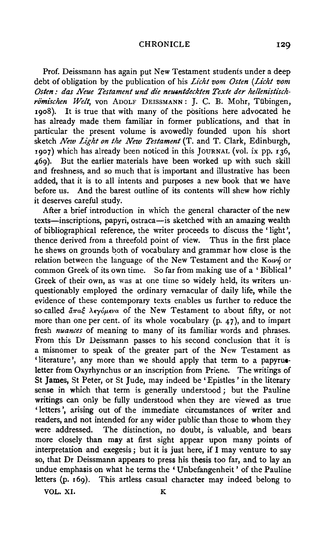## CHRONICLE 129

Prof. Deissmann has again put New Testament students under a deep debt of obligation by the publication of his *Licht vom Osten (Licht vom*  Osten: das Neue Testament und die neuentdeckten Texte der hellenistischrömischen Welt, von ADOLF DEISSMANN: J. C. B. Mohr, Tübingen, 1908). It is true that with many of the positions here advocated he has already made them familiar in former publications, and that in particular the present volume is avowedly founded upon his short sketch *New Light on the New Testament* (T. and T. Clark, Edinburgh, 1907) which has already been noticed in this JoURNAL (vol. ix pp. 136, 469). But the earlier materials have been worked up with such skill and freshness, and so much that is important and illustrative has been added, that it is to all intents and purposes a new book that we have before us. And the barest outline of its contents will shew how richly it deserves careful study.

After a brief introduction in which the general character of the new texts-inscriptions, papyri, ostraca-is sketched with an amazing wealth of bibliographical reference, the writer proceeds to discuss the 'light', thence derived from a threefold point of view. Thus in the first place he shews on grounds both of vocabulary and grammar how close is the relation between the language of the New Testament and the Koum or common Greek of its own time. So far from making use of a ' Biblical' Greek of their own, as was at one time so widely held, its writers unquestionably employed the ordinary vernacular of daily life, while the evidence of these contemporary texts enables us further to reduce the so-called *άπαξ* λεγόμενα of the New Testament to about fifty, or not more than one per cent. of its whole vocabulary (p. 47), and to impart fresh *nuances* of meaning to many of its familiar words and phrases. From this Dr Deissmann passes to his second conclusion that it is a misnomer to speak of the greater part of the New Testament as 'literature', any more than we should apply that term to a papyrusletter from Oxyrhynchus or an inscription from Priene. The writings of St James, St Peter, or St Jude, may indeed be 'Epistles' in the literary sense in which that term is generally understood ; but the Pauline writings can only be fully understood when they are viewed as true ' letters ', arising out of the immediate circumstances of writer and readers, and not intended for any wider public than those to whom they were addressed. The distinction, no doubt, is valuable, and bears more closely than may at first sight appear upon many points of interpretation and exegesis; but it is just here, if I may venture to say so, that Dr Deissmann appears to press his thesis too far, and to lay an undue emphasis on what he terms the 'Unbefangenheit' of the Pauline letters (p. 169). This artless casual character may indeed belong to

VOL. XI. K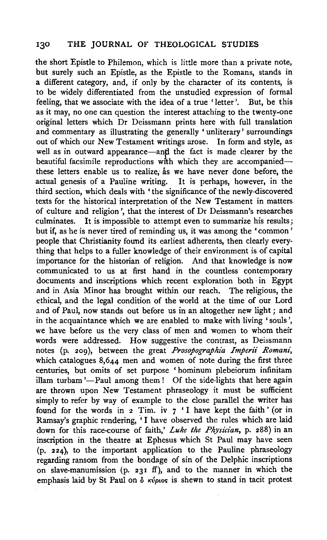## 130 THE JOURNAL OF THEOLOGICAL STUDIES

the short Epistle to Philemon, which is little more than a private note, but surely such an Epistle, as the Epistle to the Romans, stands in a different category, and, if only by the character of its contents, is to be widely differentiated from the unstudied expression of formal feeling, that we associate with the idea of a true 'letter'. But, be this as it may, no one can question the interest attaching to the twenty-one original letters which Dr Deissmann prints here with full translation and commentary as illustrating the generally ' unliterary' surroundings out of which our New Testament writings arose. In form and style, as well as in outward appearance-and the fact is made clearer by the beautiful facsimile reproductions with which they are accompaniedthese letters enable us to realize, as we have never done before, the actual genesis of a Pauline writing. It is perhaps, however, in the third section, which deals with ' the significance of the newly-discovered texts for the historical interpretation of the New Testament in matters of culture and religion ', that the interest of Dr Deissmann's researches culminates. It is impossible to attempt even to summarize his results; but if, as he is never tired of reminding us, it was among the 'common ' people that Christianity found its earliest adherents, then clearly everything that helps to a fuller knowledge of their environment is of capital importance for the historian of religion. And that knowledge is now communicated to us at first hand in the countless contemporary documents and inscriptions which recent exploration both in Egypt and in Asia Minor has brought within our reach. The religious, the ethical, and the legal condition of the world at the time of our Lord and of Paul, now stands out before us in an altogether new light; and in the acquaintance which we are enabled to make with living 'souls', we have before us the very class of men and women to whom their words were addressed. How suggestive the contrast, as Deissmann notes (p. 209), between the great *Prosopographia Imperii Romani,*  which catalogues 8,644 men and women of note during the first three centuries, but omits of set purpose ' hominum plebeiorum infinitam illam turbam'--Paul among them! Of the side-lights that here again are thrown upon New Testament phraseology it must be sufficient simply to refer by way of example to the close parallel the writer has found for the words in  $2$  Tim. iv  $7$  'I have kept the faith' (or in Ramsay's graphic rendering, 'I have observed the rules which are laid down for this race-course of faith,' *Luke the Physician,* p. 288} in an inscription in the theatre at Ephesus which St Paul may have seen (p. 224), to the important application to the Pauline phraseology regarding ransom from the bondage of sin of the Delphic inscriptions on slave-manumission (p. 231 ff), and to the manner in which the emphasis laid by St Paul on  $\delta$  Kvptos is shewn to stand in tacit protest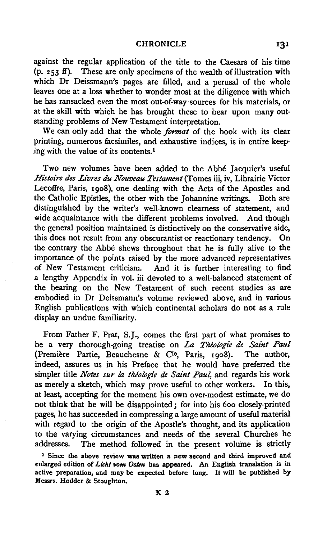## CHRONICLE 131

against the regular application of the title to the Caesars of his time (p. 253 ff}. These are only specimens of the wealth of illustration with which Dr Deissmann's pages are filled, and a perusal of the whole leaves one at a loss whether to wonder most at the diligence with which he has ransacked even the most out-of-way ·sources for his materials, or at the skill with which he has brought these to bear upon many outstanding problems of New Testament interpretation.

We can only add that the whole *format* of the book with its clear printing, numerous facsimiles, and exhaustive indices, is in entire keep*ing* with the value of its contents. <sup>I</sup>

Two new volumes have been added to the Abbe Jacquier's useful *Histoire des Li'vres du Nouveau Testament* (Tomes iii, iv, Librairie Victor Lecoffre, Paris, 19o8), one dealing with the Acts of the Apostles and the Catholic Epistles, the other with the Johannine writings. Both are distinguished by the writer's well-known clearness of statement, and wide acquaintance with the different problems involved. And though the general position maintained is distinctively on the conservative side, this does not result from any obscurantist or reactionary tendency. On the contrary the Abbe shews throughout that he is fully alive to the importance of the points raised by the more advanced representatives of New Testament criticism. And it is further interesting to find a lengthy Appendix in vol. iii devoted to a well-balanced statement of the bearing on the New Testament of such recent studies as are embodied in Dr Deissmann's volume reviewed above, and in various English publications with which continental scholars do not as a rule display an undue familiarity.

From Father F. Prat, S.J., comes the first part of what promises to be a very thorough-going treatise on *La Théologie de Saint Paul* (Première Partie, Beauchesne & Cie, Paris, 1908). The author, indeed, assures us in his Preface that he would have preferred the simpler title *Notes sur la théologie de Saint Paul*, and regards his work as merely a sketch, which may prove useful to other workers. In this, at least, accepting for the moment his own over-modest estimate, we do not think that he will be disappointed; for into his 6oo closely-printed pages, he has succeeded in compressing a large amount of useful material with regard to the origin of the Apostle's thought, and its application to the varying circumstances and needs of the several Churches he addresses. The method followed in the present volume is strictly

<sup>1</sup> Since the above review was written a new second and third improved and enlarged edition of *Licht vom Ostm* has appeared. An English translation is in active preparation, and may be expected before long. It will be published by Messrs. Hodder & Stoughton.